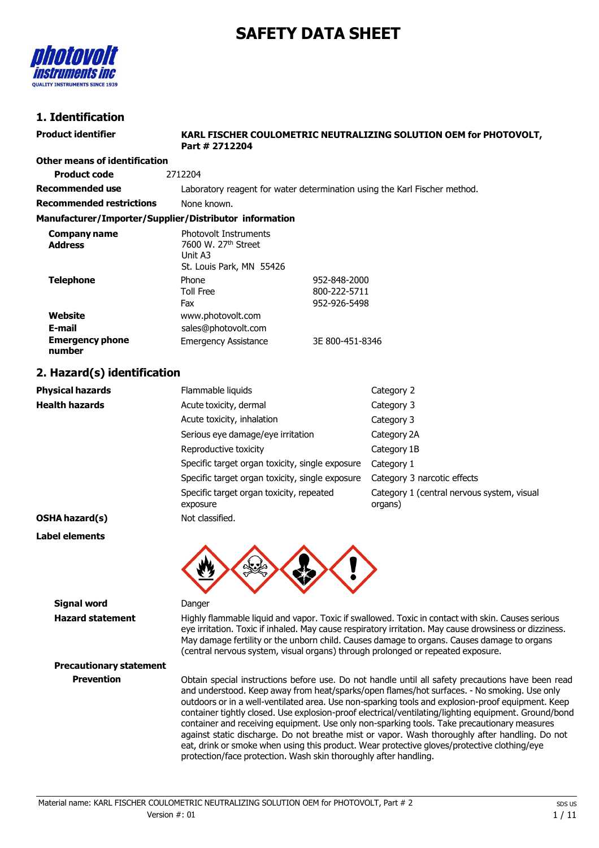# **SAFETY DATA SHEET**



# **1. Identification**

| 1. Igentification                                      |                                                                                                        |                 |                                                                                                                                                                                                                                                                                                                                                                                              |
|--------------------------------------------------------|--------------------------------------------------------------------------------------------------------|-----------------|----------------------------------------------------------------------------------------------------------------------------------------------------------------------------------------------------------------------------------------------------------------------------------------------------------------------------------------------------------------------------------------------|
| <b>Product identifier</b>                              | Part # 2712204                                                                                         |                 | KARL FISCHER COULOMETRIC NEUTRALIZING SOLUTION OEM for PHOTOVOLT,                                                                                                                                                                                                                                                                                                                            |
| <b>Other means of identification</b>                   |                                                                                                        |                 |                                                                                                                                                                                                                                                                                                                                                                                              |
| <b>Product code</b>                                    | 2712204                                                                                                |                 |                                                                                                                                                                                                                                                                                                                                                                                              |
| <b>Recommended use</b>                                 |                                                                                                        |                 | Laboratory reagent for water determination using the Karl Fischer method.                                                                                                                                                                                                                                                                                                                    |
| <b>Recommended restrictions</b>                        | None known.                                                                                            |                 |                                                                                                                                                                                                                                                                                                                                                                                              |
| Manufacturer/Importer/Supplier/Distributor information |                                                                                                        |                 |                                                                                                                                                                                                                                                                                                                                                                                              |
| <b>Company name</b><br><b>Address</b>                  | <b>Photovolt Instruments</b><br>7600 W. 27 <sup>th</sup> Street<br>Unit A3<br>St. Louis Park, MN 55426 |                 |                                                                                                                                                                                                                                                                                                                                                                                              |
| <b>Telephone</b>                                       | Phone                                                                                                  | 952-848-2000    |                                                                                                                                                                                                                                                                                                                                                                                              |
|                                                        | <b>Toll Free</b>                                                                                       | 800-222-5711    |                                                                                                                                                                                                                                                                                                                                                                                              |
| Website                                                | Fax                                                                                                    | 952-926-5498    |                                                                                                                                                                                                                                                                                                                                                                                              |
| E-mail                                                 | www.photovolt.com<br>sales@photovolt.com                                                               |                 |                                                                                                                                                                                                                                                                                                                                                                                              |
| <b>Emergency phone</b><br>number                       | <b>Emergency Assistance</b>                                                                            | 3E 800-451-8346 |                                                                                                                                                                                                                                                                                                                                                                                              |
| 2. Hazard(s) identification                            |                                                                                                        |                 |                                                                                                                                                                                                                                                                                                                                                                                              |
| <b>Physical hazards</b>                                | Flammable liquids                                                                                      |                 | Category 2                                                                                                                                                                                                                                                                                                                                                                                   |
| <b>Health hazards</b>                                  | Acute toxicity, dermal                                                                                 |                 | Category 3                                                                                                                                                                                                                                                                                                                                                                                   |
|                                                        | Acute toxicity, inhalation                                                                             |                 | Category 3                                                                                                                                                                                                                                                                                                                                                                                   |
|                                                        | Serious eye damage/eye irritation                                                                      |                 | Category 2A                                                                                                                                                                                                                                                                                                                                                                                  |
|                                                        | Reproductive toxicity                                                                                  |                 | Category 1B                                                                                                                                                                                                                                                                                                                                                                                  |
|                                                        | Specific target organ toxicity, single exposure                                                        |                 | Category 1                                                                                                                                                                                                                                                                                                                                                                                   |
|                                                        | Specific target organ toxicity, single exposure                                                        |                 | Category 3 narcotic effects                                                                                                                                                                                                                                                                                                                                                                  |
|                                                        | Specific target organ toxicity, repeated<br>exposure                                                   |                 | Category 1 (central nervous system, visual<br>organs)                                                                                                                                                                                                                                                                                                                                        |
| OSHA hazard(s)                                         | Not classified.                                                                                        |                 |                                                                                                                                                                                                                                                                                                                                                                                              |
| <b>Label elements</b>                                  |                                                                                                        |                 |                                                                                                                                                                                                                                                                                                                                                                                              |
|                                                        | w                                                                                                      |                 |                                                                                                                                                                                                                                                                                                                                                                                              |
| <b>Signal word</b>                                     | Danger                                                                                                 |                 |                                                                                                                                                                                                                                                                                                                                                                                              |
| <b>Hazard statement</b>                                |                                                                                                        |                 | Highly flammable liquid and vapor. Toxic if swallowed. Toxic in contact with skin. Causes serious<br>eye irritation. Toxic if inhaled. May cause respiratory irritation. May cause drowsiness or dizziness.<br>May damage fertility or the unborn child. Causes damage to organs. Causes damage to organs<br>(central nervous system, visual organs) through prolonged or repeated exposure. |

**Precautionary statement**

**Prevention** Obtain special instructions before use. Do not handle until all safety precautions have been read and understood. Keep away from heat/sparks/open flames/hot surfaces. - No smoking. Use only outdoors or in a well-ventilated area. Use non-sparking tools and explosion-proof equipment. Keep container tightly closed. Use explosion-proof electrical/ventilating/lighting equipment. Ground/bond container and receiving equipment. Use only non-sparking tools. Take precautionary measures against static discharge. Do not breathe mist or vapor. Wash thoroughly after handling. Do not eat, drink or smoke when using this product. Wear protective gloves/protective clothing/eye protection/face protection. Wash skin thoroughly after handling.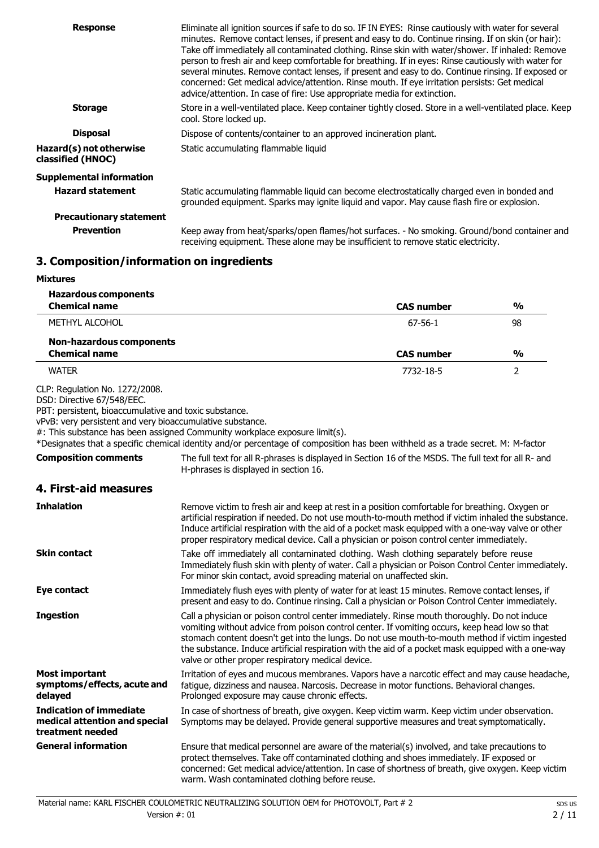| <b>Response</b>                              | Eliminate all ignition sources if safe to do so. IF IN EYES: Rinse cautiously with water for several<br>minutes. Remove contact lenses, if present and easy to do. Continue rinsing. If on skin (or hair):<br>Take off immediately all contaminated clothing. Rinse skin with water/shower. If inhaled: Remove<br>person to fresh air and keep comfortable for breathing. If in eyes: Rinse cautiously with water for<br>several minutes. Remove contact lenses, if present and easy to do. Continue rinsing. If exposed or<br>concerned: Get medical advice/attention. Rinse mouth. If eye irritation persists: Get medical<br>advice/attention. In case of fire: Use appropriate media for extinction. |
|----------------------------------------------|----------------------------------------------------------------------------------------------------------------------------------------------------------------------------------------------------------------------------------------------------------------------------------------------------------------------------------------------------------------------------------------------------------------------------------------------------------------------------------------------------------------------------------------------------------------------------------------------------------------------------------------------------------------------------------------------------------|
| <b>Storage</b>                               | Store in a well-ventilated place. Keep container tightly closed. Store in a well-ventilated place. Keep<br>cool. Store locked up.                                                                                                                                                                                                                                                                                                                                                                                                                                                                                                                                                                        |
| <b>Disposal</b>                              | Dispose of contents/container to an approved incineration plant.                                                                                                                                                                                                                                                                                                                                                                                                                                                                                                                                                                                                                                         |
| Hazard(s) not otherwise<br>classified (HNOC) | Static accumulating flammable liquid                                                                                                                                                                                                                                                                                                                                                                                                                                                                                                                                                                                                                                                                     |
| <b>Supplemental information</b>              |                                                                                                                                                                                                                                                                                                                                                                                                                                                                                                                                                                                                                                                                                                          |
| <b>Hazard statement</b>                      | Static accumulating flammable liquid can become electrostatically charged even in bonded and<br>grounded equipment. Sparks may ignite liquid and vapor. May cause flash fire or explosion.                                                                                                                                                                                                                                                                                                                                                                                                                                                                                                               |
| <b>Precautionary statement</b>               |                                                                                                                                                                                                                                                                                                                                                                                                                                                                                                                                                                                                                                                                                                          |
| <b>Prevention</b>                            | Keep away from heat/sparks/open flames/hot surfaces. - No smoking. Ground/bond container and<br>receiving equipment. These alone may be insufficient to remove static electricity.                                                                                                                                                                                                                                                                                                                                                                                                                                                                                                                       |

# **3. Composition/information on ingredients**

| Mixtures                                                                                                                                                                           |                                                                                                                                                                                                                                                                                                                                                                                                                                                             |                   |                |
|------------------------------------------------------------------------------------------------------------------------------------------------------------------------------------|-------------------------------------------------------------------------------------------------------------------------------------------------------------------------------------------------------------------------------------------------------------------------------------------------------------------------------------------------------------------------------------------------------------------------------------------------------------|-------------------|----------------|
| <b>Hazardous components</b>                                                                                                                                                        |                                                                                                                                                                                                                                                                                                                                                                                                                                                             |                   |                |
| <b>Chemical name</b>                                                                                                                                                               |                                                                                                                                                                                                                                                                                                                                                                                                                                                             | <b>CAS number</b> | $\frac{0}{0}$  |
| METHYL ALCOHOL                                                                                                                                                                     |                                                                                                                                                                                                                                                                                                                                                                                                                                                             | $67 - 56 - 1$     | 98             |
| <b>Non-hazardous components</b>                                                                                                                                                    |                                                                                                                                                                                                                                                                                                                                                                                                                                                             |                   |                |
| <b>Chemical name</b>                                                                                                                                                               |                                                                                                                                                                                                                                                                                                                                                                                                                                                             | <b>CAS number</b> | %              |
| <b>WATER</b>                                                                                                                                                                       |                                                                                                                                                                                                                                                                                                                                                                                                                                                             | 7732-18-5         | $\overline{2}$ |
| CLP: Regulation No. 1272/2008.<br>DSD: Directive 67/548/EEC.<br>PBT: persistent, bioaccumulative and toxic substance.<br>vPvB: very persistent and very bioaccumulative substance. | #: This substance has been assigned Community workplace exposure limit(s).<br>*Designates that a specific chemical identity and/or percentage of composition has been withheld as a trade secret. M: M-factor                                                                                                                                                                                                                                               |                   |                |
| <b>Composition comments</b>                                                                                                                                                        | The full text for all R-phrases is displayed in Section 16 of the MSDS. The full text for all R- and<br>H-phrases is displayed in section 16.                                                                                                                                                                                                                                                                                                               |                   |                |
| 4. First-aid measures                                                                                                                                                              |                                                                                                                                                                                                                                                                                                                                                                                                                                                             |                   |                |
| Inhalation                                                                                                                                                                         | Remove victim to fresh air and keep at rest in a position comfortable for breathing. Oxygen or<br>artificial respiration if needed. Do not use mouth-to-mouth method if victim inhaled the substance.<br>Induce artificial respiration with the aid of a pocket mask equipped with a one-way valve or other<br>proper respiratory medical device. Call a physician or poison control center immediately.                                                    |                   |                |
| Skin contact                                                                                                                                                                       | Take off immediately all contaminated clothing. Wash clothing separately before reuse<br>Immediately flush skin with plenty of water. Call a physician or Poison Control Center immediately.<br>For minor skin contact, avoid spreading material on unaffected skin.                                                                                                                                                                                        |                   |                |
| Eye contact                                                                                                                                                                        | Immediately flush eyes with plenty of water for at least 15 minutes. Remove contact lenses, if<br>present and easy to do. Continue rinsing. Call a physician or Poison Control Center immediately.                                                                                                                                                                                                                                                          |                   |                |
| Ingestion                                                                                                                                                                          | Call a physician or poison control center immediately. Rinse mouth thoroughly. Do not induce<br>vomiting without advice from poison control center. If vomiting occurs, keep head low so that<br>stomach content doesn't get into the lungs. Do not use mouth-to-mouth method if victim ingested<br>the substance. Induce artificial respiration with the aid of a pocket mask equipped with a one-way<br>valve or other proper respiratory medical device. |                   |                |
| <b>Most important</b><br>symptoms/effects, acute and<br>delayed                                                                                                                    | Irritation of eyes and mucous membranes. Vapors have a narcotic effect and may cause headache,<br>fatigue, dizziness and nausea. Narcosis. Decrease in motor functions. Behavioral changes.<br>Prolonged exposure may cause chronic effects.                                                                                                                                                                                                                |                   |                |
| <b>Indication of immediate</b><br>medical attention and special<br>treatment needed                                                                                                | In case of shortness of breath, give oxygen. Keep victim warm. Keep victim under observation.<br>Symptoms may be delayed. Provide general supportive measures and treat symptomatically.                                                                                                                                                                                                                                                                    |                   |                |
| <b>General information</b>                                                                                                                                                         | Ensure that medical personnel are aware of the material(s) involved, and take precautions to<br>protect themselves. Take off contaminated clothing and shoes immediately. IF exposed or<br>concerned: Get medical advice/attention. In case of shortness of breath, give oxygen. Keep victim<br>warm. Wash contaminated clothing before reuse.                                                                                                              |                   |                |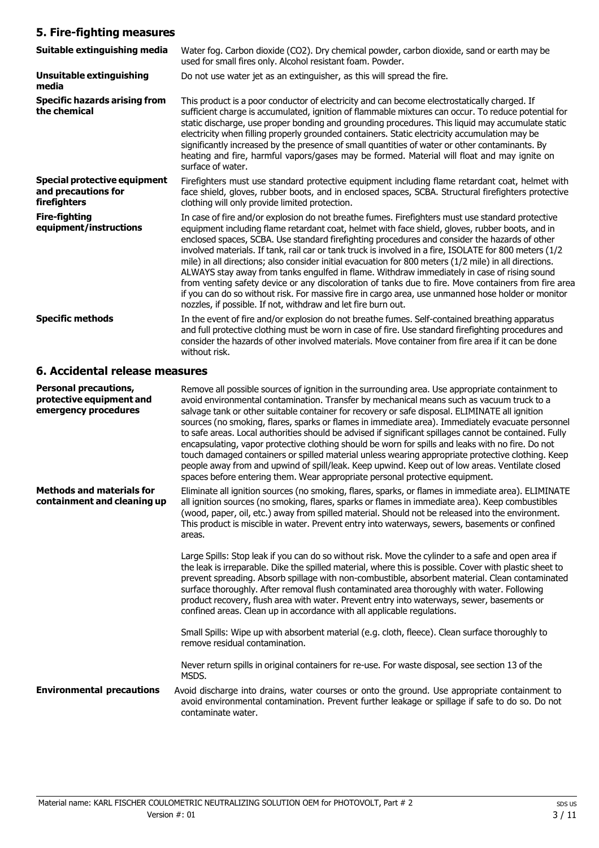# **5. Fire-fighting measures**

| Suitable extinguishing media                                               | Water fog. Carbon dioxide (CO2). Dry chemical powder, carbon dioxide, sand or earth may be<br>used for small fires only. Alcohol resistant foam. Powder.                                                                                                                                                                                                                                                                                                                                                                                                                                                                                                                                                                                                                                                                                                                                               |
|----------------------------------------------------------------------------|--------------------------------------------------------------------------------------------------------------------------------------------------------------------------------------------------------------------------------------------------------------------------------------------------------------------------------------------------------------------------------------------------------------------------------------------------------------------------------------------------------------------------------------------------------------------------------------------------------------------------------------------------------------------------------------------------------------------------------------------------------------------------------------------------------------------------------------------------------------------------------------------------------|
| Unsuitable extinguishing<br>media                                          | Do not use water jet as an extinguisher, as this will spread the fire.                                                                                                                                                                                                                                                                                                                                                                                                                                                                                                                                                                                                                                                                                                                                                                                                                                 |
| <b>Specific hazards arising from</b><br>the chemical                       | This product is a poor conductor of electricity and can become electrostatically charged. If<br>sufficient charge is accumulated, ignition of flammable mixtures can occur. To reduce potential for<br>static discharge, use proper bonding and grounding procedures. This liquid may accumulate static<br>electricity when filling properly grounded containers. Static electricity accumulation may be<br>significantly increased by the presence of small quantities of water or other contaminants. By<br>heating and fire, harmful vapors/gases may be formed. Material will float and may ignite on<br>surface of water.                                                                                                                                                                                                                                                                         |
| <b>Special protective equipment</b><br>and precautions for<br>firefighters | Firefighters must use standard protective equipment including flame retardant coat, helmet with<br>face shield, gloves, rubber boots, and in enclosed spaces, SCBA. Structural firefighters protective<br>clothing will only provide limited protection.                                                                                                                                                                                                                                                                                                                                                                                                                                                                                                                                                                                                                                               |
| <b>Fire-fighting</b><br>equipment/instructions                             | In case of fire and/or explosion do not breathe fumes. Firefighters must use standard protective<br>equipment including flame retardant coat, helmet with face shield, gloves, rubber boots, and in<br>enclosed spaces, SCBA. Use standard firefighting procedures and consider the hazards of other<br>involved materials. If tank, rail car or tank truck is involved in a fire, ISOLATE for 800 meters (1/2<br>mile) in all directions; also consider initial evacuation for 800 meters (1/2 mile) in all directions.<br>ALWAYS stay away from tanks engulfed in flame. Withdraw immediately in case of rising sound<br>from venting safety device or any discoloration of tanks due to fire. Move containers from fire area<br>if you can do so without risk. For massive fire in cargo area, use unmanned hose holder or monitor<br>nozzles, if possible. If not, withdraw and let fire burn out. |
| <b>Specific methods</b>                                                    | In the event of fire and/or explosion do not breathe fumes. Self-contained breathing apparatus<br>and full protective clothing must be worn in case of fire. Use standard firefighting procedures and<br>consider the hazards of other involved materials. Move container from fire area if it can be done<br>without risk.                                                                                                                                                                                                                                                                                                                                                                                                                                                                                                                                                                            |

# **6. Accidental release measures**

| <b>Personal precautions,</b><br>protective equipment and<br>emergency procedures | Remove all possible sources of ignition in the surrounding area. Use appropriate containment to<br>avoid environmental contamination. Transfer by mechanical means such as vacuum truck to a<br>salvage tank or other suitable container for recovery or safe disposal. ELIMINATE all ignition<br>sources (no smoking, flares, sparks or flames in immediate area). Immediately evacuate personnel<br>to safe areas. Local authorities should be advised if significant spillages cannot be contained. Fully<br>encapsulating, vapor protective clothing should be worn for spills and leaks with no fire. Do not<br>touch damaged containers or spilled material unless wearing appropriate protective clothing. Keep<br>people away from and upwind of spill/leak. Keep upwind. Keep out of low areas. Ventilate closed<br>spaces before entering them. Wear appropriate personal protective equipment. |
|----------------------------------------------------------------------------------|-----------------------------------------------------------------------------------------------------------------------------------------------------------------------------------------------------------------------------------------------------------------------------------------------------------------------------------------------------------------------------------------------------------------------------------------------------------------------------------------------------------------------------------------------------------------------------------------------------------------------------------------------------------------------------------------------------------------------------------------------------------------------------------------------------------------------------------------------------------------------------------------------------------|
| <b>Methods and materials for</b><br>containment and cleaning up                  | Eliminate all ignition sources (no smoking, flares, sparks, or flames in immediate area). ELIMINATE<br>all ignition sources (no smoking, flares, sparks or flames in immediate area). Keep combustibles<br>(wood, paper, oil, etc.) away from spilled material. Should not be released into the environment.<br>This product is miscible in water. Prevent entry into waterways, sewers, basements or confined<br>areas.                                                                                                                                                                                                                                                                                                                                                                                                                                                                                  |
|                                                                                  | Large Spills: Stop leak if you can do so without risk. Move the cylinder to a safe and open area if<br>the leak is irreparable. Dike the spilled material, where this is possible. Cover with plastic sheet to<br>prevent spreading. Absorb spillage with non-combustible, absorbent material. Clean contaminated<br>surface thoroughly. After removal flush contaminated area thoroughly with water. Following<br>product recovery, flush area with water. Prevent entry into waterways, sewer, basements or<br>confined areas. Clean up in accordance with all applicable regulations.                                                                                                                                                                                                                                                                                                                  |
|                                                                                  | Small Spills: Wipe up with absorbent material (e.g. cloth, fleece). Clean surface thoroughly to<br>remove residual contamination.                                                                                                                                                                                                                                                                                                                                                                                                                                                                                                                                                                                                                                                                                                                                                                         |
|                                                                                  | Never return spills in original containers for re-use. For waste disposal, see section 13 of the<br>MSDS.                                                                                                                                                                                                                                                                                                                                                                                                                                                                                                                                                                                                                                                                                                                                                                                                 |
| <b>Environmental precautions</b>                                                 | Avoid discharge into drains, water courses or onto the ground. Use appropriate containment to<br>avoid environmental contamination. Prevent further leakage or spillage if safe to do so. Do not<br>contaminate water.                                                                                                                                                                                                                                                                                                                                                                                                                                                                                                                                                                                                                                                                                    |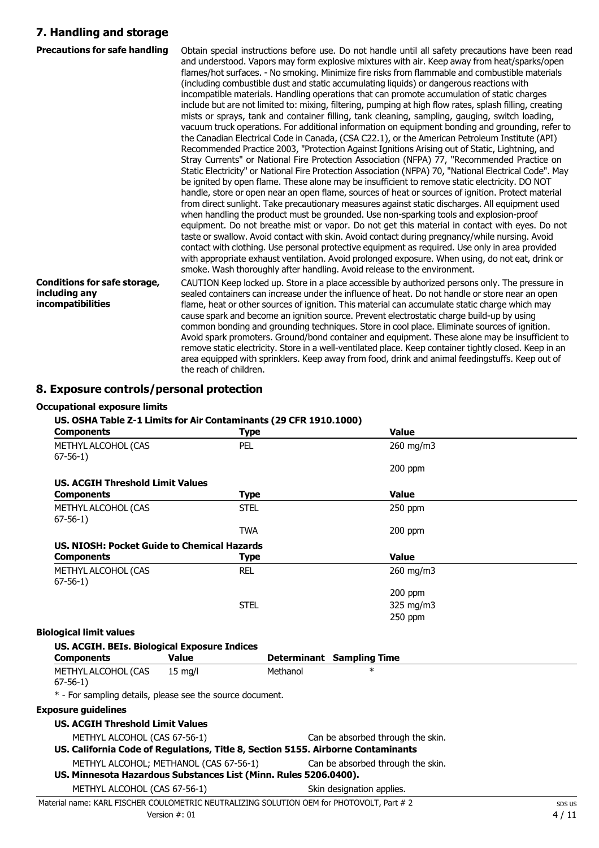## **7. Handling and storage**

| <b>Precautions for safe handling</b>                                      | Obtain special instructions before use. Do not handle until all safety precautions have been read<br>and understood. Vapors may form explosive mixtures with air. Keep away from heat/sparks/open<br>flames/hot surfaces. - No smoking. Minimize fire risks from flammable and combustible materials<br>(including combustible dust and static accumulating liquids) or dangerous reactions with<br>incompatible materials. Handling operations that can promote accumulation of static charges<br>include but are not limited to: mixing, filtering, pumping at high flow rates, splash filling, creating<br>mists or sprays, tank and container filling, tank cleaning, sampling, gauging, switch loading,<br>vacuum truck operations. For additional information on equipment bonding and grounding, refer to<br>the Canadian Electrical Code in Canada, (CSA C22.1), or the American Petroleum Institute (API)<br>Recommended Practice 2003, "Protection Against Ignitions Arising out of Static, Lightning, and<br>Stray Currents" or National Fire Protection Association (NFPA) 77, "Recommended Practice on<br>Static Electricity" or National Fire Protection Association (NFPA) 70, "National Electrical Code". May<br>be ignited by open flame. These alone may be insufficient to remove static electricity. DO NOT<br>handle, store or open near an open flame, sources of heat or sources of ignition. Protect material<br>from direct sunlight. Take precautionary measures against static discharges. All equipment used<br>when handling the product must be grounded. Use non-sparking tools and explosion-proof<br>equipment. Do not breathe mist or vapor. Do not get this material in contact with eyes. Do not<br>taste or swallow. Avoid contact with skin. Avoid contact during pregnancy/while nursing. Avoid<br>contact with clothing. Use personal protective equipment as required. Use only in area provided<br>with appropriate exhaust ventilation. Avoid prolonged exposure. When using, do not eat, drink or<br>smoke. Wash thoroughly after handling. Avoid release to the environment. |
|---------------------------------------------------------------------------|---------------------------------------------------------------------------------------------------------------------------------------------------------------------------------------------------------------------------------------------------------------------------------------------------------------------------------------------------------------------------------------------------------------------------------------------------------------------------------------------------------------------------------------------------------------------------------------------------------------------------------------------------------------------------------------------------------------------------------------------------------------------------------------------------------------------------------------------------------------------------------------------------------------------------------------------------------------------------------------------------------------------------------------------------------------------------------------------------------------------------------------------------------------------------------------------------------------------------------------------------------------------------------------------------------------------------------------------------------------------------------------------------------------------------------------------------------------------------------------------------------------------------------------------------------------------------------------------------------------------------------------------------------------------------------------------------------------------------------------------------------------------------------------------------------------------------------------------------------------------------------------------------------------------------------------------------------------------------------------------------------------------------------------------------------------------------------------------------------------------------|
| <b>Conditions for safe storage,</b><br>including any<br>incompatibilities | CAUTION Keep locked up. Store in a place accessible by authorized persons only. The pressure in<br>sealed containers can increase under the influence of heat. Do not handle or store near an open<br>flame, heat or other sources of ignition. This material can accumulate static charge which may<br>cause spark and become an ignition source. Prevent electrostatic charge build-up by using<br>common bonding and grounding techniques. Store in cool place. Eliminate sources of ignition.<br>Avoid spark promoters. Ground/bond container and equipment. These alone may be insufficient to<br>remove static electricity. Store in a well-ventilated place. Keep container tightly closed. Keep in an<br>area equipped with sprinklers. Keep away from food, drink and animal feedingstuffs. Keep out of<br>the reach of children.                                                                                                                                                                                                                                                                                                                                                                                                                                                                                                                                                                                                                                                                                                                                                                                                                                                                                                                                                                                                                                                                                                                                                                                                                                                                                |

#### **8. Exposure controls/personal protection**

#### **Occupational exposure limits**

### **US. OSHA Table Z-1 Limits for Air Contaminants (29 CFR 1910.1000)**

| <b>Components</b>                           | <b>Type</b> | <b>Value</b> |  |
|---------------------------------------------|-------------|--------------|--|
| METHYL ALCOHOL (CAS<br>$67-56-1)$           | <b>PEL</b>  | 260 mg/m3    |  |
|                                             |             | $200$ ppm    |  |
| <b>US. ACGIH Threshold Limit Values</b>     |             |              |  |
| <b>Components</b>                           | <b>Type</b> | <b>Value</b> |  |
| METHYL ALCOHOL (CAS<br>$67 - 56 - 1$        | <b>STEL</b> | 250 ppm      |  |
|                                             | <b>TWA</b>  | $200$ ppm    |  |
| US. NIOSH: Pocket Guide to Chemical Hazards |             |              |  |
| <b>Components</b>                           | <b>Type</b> | <b>Value</b> |  |
| METHYL ALCOHOL (CAS<br>$67-56-1)$           | <b>REL</b>  | 260 mg/m3    |  |
|                                             |             | $200$ ppm    |  |
|                                             | <b>STEL</b> | 325 mg/m3    |  |
|                                             |             | 250 ppm      |  |
| <b>Biological limit values</b>              |             |              |  |

#### **US. ACGIH. BEIs. Biological Exposure Indices Components Value Determinant Sampling Time** METHYL ALCOHOL (CAS 67-56-1) 15 mg/l Methanol \* \* - For sampling details, please see the source document. **Exposure guidelines US. ACGIH Threshold Limit Values** METHYL ALCOHOL (CAS 67-56-1) Can be absorbed through the skin. **US. California Code of Regulations, Title 8, Section 5155. Airborne Contaminants** METHYL ALCOHOL; METHANOL (CAS 67-56-1) Can be absorbed through the skin. **US. Minnesota Hazardous Substances List (Minn. Rules 5206.0400).** METHYL ALCOHOL (CAS 67-56-1) Skin designation applies.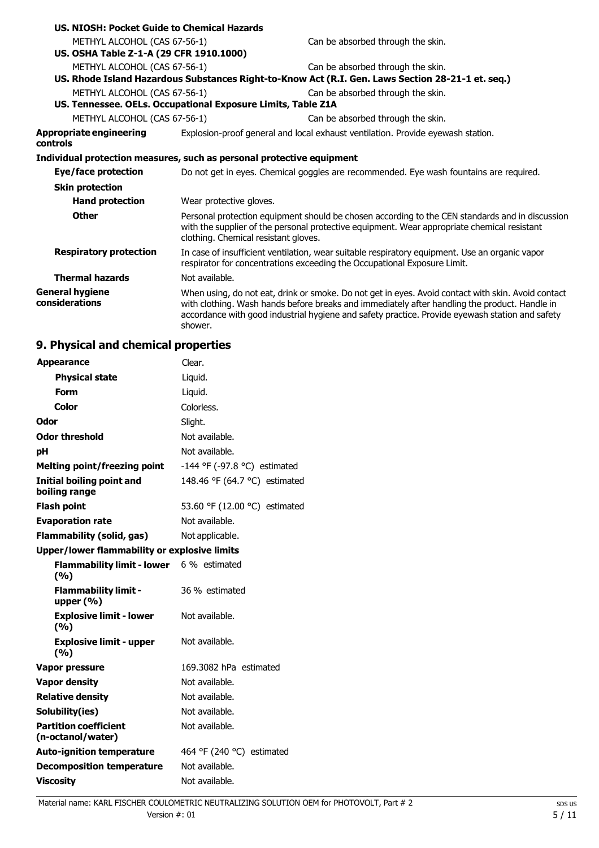| US. NIOSH: Pocket Guide to Chemical Hazards                           |                                                              |                                                                                                                                                                                                                                                                                                        |
|-----------------------------------------------------------------------|--------------------------------------------------------------|--------------------------------------------------------------------------------------------------------------------------------------------------------------------------------------------------------------------------------------------------------------------------------------------------------|
| METHYL ALCOHOL (CAS 67-56-1)                                          |                                                              | Can be absorbed through the skin.                                                                                                                                                                                                                                                                      |
| US. OSHA Table Z-1-A (29 CFR 1910.1000)                               |                                                              |                                                                                                                                                                                                                                                                                                        |
| METHYL ALCOHOL (CAS 67-56-1)                                          |                                                              | Can be absorbed through the skin.                                                                                                                                                                                                                                                                      |
|                                                                       |                                                              | US. Rhode Island Hazardous Substances Right-to-Know Act (R.I. Gen. Laws Section 28-21-1 et. seq.)                                                                                                                                                                                                      |
| METHYL ALCOHOL (CAS 67-56-1)                                          |                                                              | Can be absorbed through the skin.                                                                                                                                                                                                                                                                      |
|                                                                       | US. Tennessee. OELs. Occupational Exposure Limits, Table Z1A |                                                                                                                                                                                                                                                                                                        |
| METHYL ALCOHOL (CAS 67-56-1)                                          |                                                              | Can be absorbed through the skin.                                                                                                                                                                                                                                                                      |
| Appropriate engineering<br>controls                                   |                                                              | Explosion-proof general and local exhaust ventilation. Provide eyewash station.                                                                                                                                                                                                                        |
| Individual protection measures, such as personal protective equipment |                                                              |                                                                                                                                                                                                                                                                                                        |
| Eye/face protection                                                   |                                                              | Do not get in eyes. Chemical goggles are recommended. Eye wash fountains are required.                                                                                                                                                                                                                 |
| <b>Skin protection</b>                                                |                                                              |                                                                                                                                                                                                                                                                                                        |
| <b>Hand protection</b>                                                | Wear protective gloves.                                      |                                                                                                                                                                                                                                                                                                        |
| <b>Other</b>                                                          | clothing. Chemical resistant gloves.                         | Personal protection equipment should be chosen according to the CEN standards and in discussion<br>with the supplier of the personal protective equipment. Wear appropriate chemical resistant                                                                                                         |
| <b>Respiratory protection</b>                                         |                                                              | In case of insufficient ventilation, wear suitable respiratory equipment. Use an organic vapor<br>respirator for concentrations exceeding the Occupational Exposure Limit.                                                                                                                             |
| <b>Thermal hazards</b>                                                | Not available.                                               |                                                                                                                                                                                                                                                                                                        |
| General hygiene<br>considerations                                     | shower.                                                      | When using, do not eat, drink or smoke. Do not get in eyes. Avoid contact with skin. Avoid contact<br>with clothing. Wash hands before breaks and immediately after handling the product. Handle in<br>accordance with good industrial hygiene and safety practice. Provide eyewash station and safety |

# **9. Physical and chemical properties**

| <b>Appearance</b>                                 | Clear.                        |
|---------------------------------------------------|-------------------------------|
| <b>Physical state</b>                             | Liquid.                       |
| Form                                              | Liquid.                       |
| <b>Color</b>                                      | Colorless.                    |
| Odor                                              | Slight.                       |
| <b>Odor threshold</b>                             | Not available.                |
| pH                                                | Not available.                |
| <b>Melting point/freezing point</b>               | -144 °F (-97.8 °C) estimated  |
| <b>Initial boiling point and</b><br>boiling range | 148.46 °F (64.7 °C) estimated |
| <b>Flash point</b>                                | 53.60 °F (12.00 °C) estimated |
| <b>Evaporation rate</b>                           | Not available.                |
| <b>Flammability (solid, gas)</b>                  | Not applicable.               |
| Upper/lower flammability or explosive limits      |                               |
| <b>Flammability limit - lower</b><br>(%)          | 6 % estimated                 |
| <b>Flammability limit -</b><br>upper $(\% )$      | 36 % estimated                |
| <b>Explosive limit - lower</b><br>(%)             | Not available.                |
| <b>Explosive limit - upper</b><br>(%)             | Not available.                |
| <b>Vapor pressure</b>                             | 169.3082 hPa estimated        |
| <b>Vapor density</b>                              | Not available.                |
| <b>Relative density</b>                           | Not available.                |
| Solubility(ies)                                   | Not available.                |
| <b>Partition coefficient</b><br>(n-octanol/water) | Not available.                |
| <b>Auto-ignition temperature</b>                  | 464 °F (240 °C) estimated     |
| <b>Decomposition temperature</b>                  | Not available.                |
| <b>Viscosity</b>                                  | Not available.                |

Material name: KARL FISCHER COULOMETRIC NEUTRALIZING SOLUTION OEM for PHOTOVOLT, Part # 2 sps us sps us Version  $\#$ : 01 5 / 11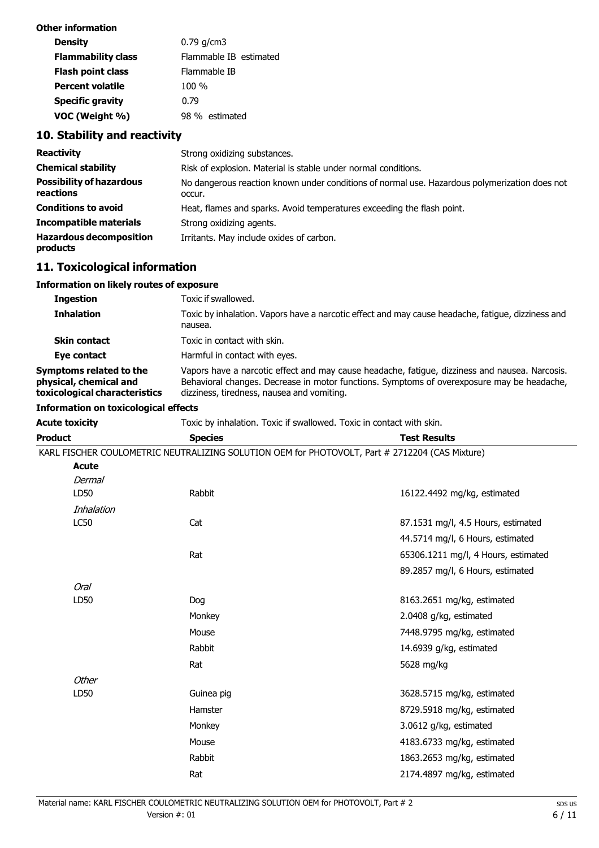| Other information         |                        |
|---------------------------|------------------------|
| <b>Density</b>            | $0.79$ q/cm3           |
| <b>Flammability class</b> | Flammable IB estimated |
| <b>Flash point class</b>  | Flammable IB           |
| <b>Percent volatile</b>   | 100 %                  |
| <b>Specific gravity</b>   | 0.79                   |
| VOC (Weight %)            | 98 % estimated         |

# **10. Stability and reactivity**

| <b>Reactivity</b>                            | Strong oxidizing substances.                                                                            |
|----------------------------------------------|---------------------------------------------------------------------------------------------------------|
| <b>Chemical stability</b>                    | Risk of explosion. Material is stable under normal conditions.                                          |
| <b>Possibility of hazardous</b><br>reactions | No dangerous reaction known under conditions of normal use. Hazardous polymerization does not<br>occur. |
| <b>Conditions to avoid</b>                   | Heat, flames and sparks. Avoid temperatures exceeding the flash point.                                  |
| <b>Incompatible materials</b>                | Strong oxidizing agents.                                                                                |
| <b>Hazardous decomposition</b><br>products   | Irritants. May include oxides of carbon.                                                                |

# **11. Toxicological information**

#### **Information on likely routes of exposure**

| <b>Ingestion</b>                                                                   | Toxic if swallowed.                                                                                                                                                                                                                        |
|------------------------------------------------------------------------------------|--------------------------------------------------------------------------------------------------------------------------------------------------------------------------------------------------------------------------------------------|
| <b>Inhalation</b>                                                                  | Toxic by inhalation. Vapors have a narcotic effect and may cause headache, fatigue, dizziness and<br>nausea.                                                                                                                               |
| <b>Skin contact</b>                                                                | Toxic in contact with skin.                                                                                                                                                                                                                |
| Eye contact                                                                        | Harmful in contact with eyes.                                                                                                                                                                                                              |
| Symptoms related to the<br>physical, chemical and<br>toxicological characteristics | Vapors have a narcotic effect and may cause headache, fatigue, dizziness and nausea. Narcosis.<br>Behavioral changes. Decrease in motor functions. Symptoms of overexposure may be headache,<br>dizziness, tiredness, nausea and vomiting. |

### **Information on toxicological effects**

**Acute toxicity** Toxic by inhalation. Toxic if swallowed. Toxic in contact with skin.

| <b>Product</b> | <b>Species</b> | <b>Test Results</b>                                                                            |
|----------------|----------------|------------------------------------------------------------------------------------------------|
|                |                | KARL FISCHER COULOMETRIC NEUTRALIZING SOLUTION OEM for PHOTOVOLT, Part # 2712204 (CAS Mixture) |
| <b>Acute</b>   |                |                                                                                                |
| <b>Dermal</b>  |                |                                                                                                |
| LD50           | Rabbit         | 16122.4492 mg/kg, estimated                                                                    |
| Inhalation     |                |                                                                                                |
| <b>LC50</b>    | Cat            | 87.1531 mg/l, 4.5 Hours, estimated                                                             |
|                |                | 44.5714 mg/l, 6 Hours, estimated                                                               |
|                | Rat            | 65306.1211 mg/l, 4 Hours, estimated                                                            |
|                |                | 89.2857 mg/l, 6 Hours, estimated                                                               |
| <b>Oral</b>    |                |                                                                                                |
| LD50           | Dog            | 8163.2651 mg/kg, estimated                                                                     |
|                | Monkey         | 2.0408 g/kg, estimated                                                                         |
|                | Mouse          | 7448.9795 mg/kg, estimated                                                                     |
|                | Rabbit         | 14.6939 g/kg, estimated                                                                        |
|                | Rat            | 5628 mg/kg                                                                                     |
| <b>Other</b>   |                |                                                                                                |
| LD50           | Guinea pig     | 3628.5715 mg/kg, estimated                                                                     |
|                | Hamster        | 8729.5918 mg/kg, estimated                                                                     |
|                | Monkey         | 3.0612 g/kg, estimated                                                                         |
|                | Mouse          | 4183.6733 mg/kg, estimated                                                                     |
|                | Rabbit         | 1863.2653 mg/kg, estimated                                                                     |
|                | Rat            | 2174.4897 mg/kg, estimated                                                                     |
|                |                |                                                                                                |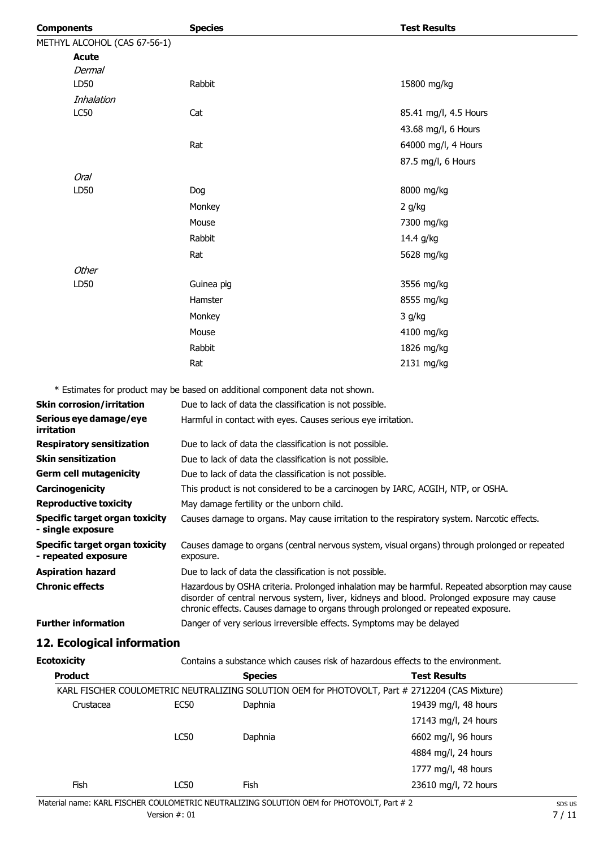| <b>Components</b>            | <b>Species</b> | <b>Test Results</b>   |
|------------------------------|----------------|-----------------------|
| METHYL ALCOHOL (CAS 67-56-1) |                |                       |
| <b>Acute</b>                 |                |                       |
| Dermal                       |                |                       |
| LD50                         | Rabbit         | 15800 mg/kg           |
| Inhalation                   |                |                       |
| LC50                         | Cat            | 85.41 mg/l, 4.5 Hours |
|                              |                | 43.68 mg/l, 6 Hours   |
|                              | Rat            | 64000 mg/l, 4 Hours   |
|                              |                | 87.5 mg/l, 6 Hours    |
| Oral                         |                |                       |
| LD50                         | Dog            | 8000 mg/kg            |
|                              | Monkey         | 2 g/kg                |
|                              | Mouse          | 7300 mg/kg            |
|                              | Rabbit         | 14.4 g/kg             |
|                              | Rat            | 5628 mg/kg            |
| Other                        |                |                       |
| LD50                         | Guinea pig     | 3556 mg/kg            |
|                              | Hamster        | 8555 mg/kg            |
|                              | Monkey         | 3 g/kg                |
|                              | Mouse          | 4100 mg/kg            |
|                              | Rabbit         | 1826 mg/kg            |
|                              | Rat            | 2131 mg/kg            |

\* Estimates for product may be based on additional component data not shown.

| <b>Skin corrosion/irritation</b>                      | Due to lack of data the classification is not possible.                                                                                                                                                                                                                          |
|-------------------------------------------------------|----------------------------------------------------------------------------------------------------------------------------------------------------------------------------------------------------------------------------------------------------------------------------------|
| Serious eye damage/eye<br><i>irritation</i>           | Harmful in contact with eyes. Causes serious eye irritation.                                                                                                                                                                                                                     |
| <b>Respiratory sensitization</b>                      | Due to lack of data the classification is not possible.                                                                                                                                                                                                                          |
| <b>Skin sensitization</b>                             | Due to lack of data the classification is not possible.                                                                                                                                                                                                                          |
| <b>Germ cell mutagenicity</b>                         | Due to lack of data the classification is not possible.                                                                                                                                                                                                                          |
| Carcinogenicity                                       | This product is not considered to be a carcinogen by IARC, ACGIH, NTP, or OSHA.                                                                                                                                                                                                  |
| <b>Reproductive toxicity</b>                          | May damage fertility or the unborn child.                                                                                                                                                                                                                                        |
| Specific target organ toxicity<br>- single exposure   | Causes damage to organs. May cause irritation to the respiratory system. Narcotic effects.                                                                                                                                                                                       |
| Specific target organ toxicity<br>- repeated exposure | Causes damage to organs (central nervous system, visual organs) through prolonged or repeated<br>exposure.                                                                                                                                                                       |
| <b>Aspiration hazard</b>                              | Due to lack of data the classification is not possible.                                                                                                                                                                                                                          |
| <b>Chronic effects</b>                                | Hazardous by OSHA criteria. Prolonged inhalation may be harmful. Repeated absorption may cause<br>disorder of central nervous system, liver, kidneys and blood. Prolonged exposure may cause<br>chronic effects. Causes damage to organs through prolonged or repeated exposure. |
| <b>Further information</b>                            | Danger of very serious irreversible effects. Symptoms may be delayed                                                                                                                                                                                                             |
|                                                       |                                                                                                                                                                                                                                                                                  |

## **12. Ecological information**

**Ecotoxicity** Contains a substance which causes risk of hazardous effects to the environment.

| <b>Product</b> | <b>Species</b> |         | <b>Test Results</b>                                                                            |
|----------------|----------------|---------|------------------------------------------------------------------------------------------------|
|                |                |         | KARL FISCHER COULOMETRIC NEUTRALIZING SOLUTION OEM for PHOTOVOLT, Part # 2712204 (CAS Mixture) |
| Crustacea      | <b>EC50</b>    | Daphnia | 19439 mg/l, 48 hours                                                                           |
|                |                |         | 17143 mg/l, 24 hours                                                                           |
|                | <b>LC50</b>    | Daphnia | 6602 mg/l, 96 hours                                                                            |
|                |                |         | 4884 mg/l, 24 hours                                                                            |
|                |                |         | 1777 mg/l, 48 hours                                                                            |
| Fish           | LC50           | Fish    | 23610 mg/l, 72 hours                                                                           |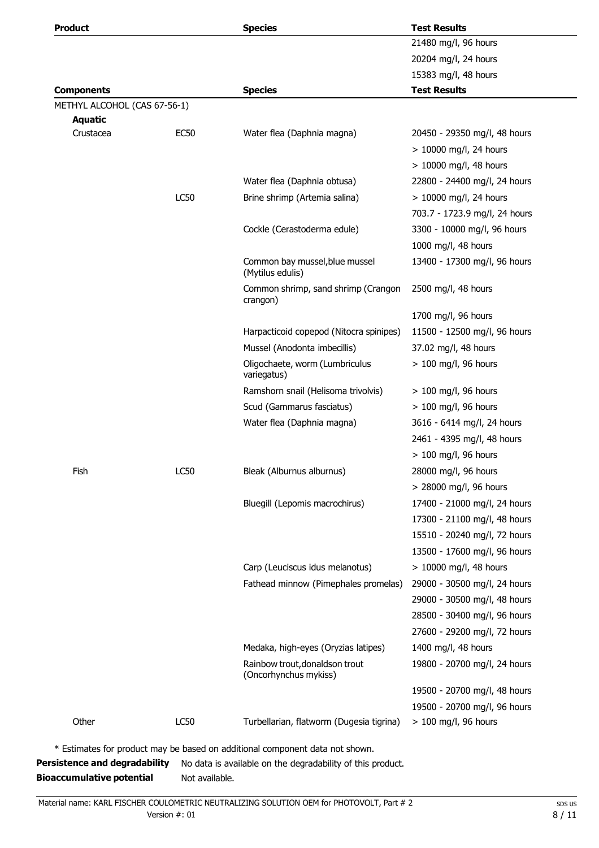| ı |  | rodu |  |  |
|---|--|------|--|--|
|   |  |      |  |  |

| Product                      |             | <b>Species</b>                                          | <b>Test Results</b>           |
|------------------------------|-------------|---------------------------------------------------------|-------------------------------|
|                              |             |                                                         | 21480 mg/l, 96 hours          |
|                              |             |                                                         | 20204 mg/l, 24 hours          |
|                              |             |                                                         | 15383 mg/l, 48 hours          |
| <b>Components</b>            |             | <b>Species</b>                                          | <b>Test Results</b>           |
| METHYL ALCOHOL (CAS 67-56-1) |             |                                                         |                               |
| <b>Aquatic</b><br>Crustacea  | <b>EC50</b> | Water flea (Daphnia magna)                              | 20450 - 29350 mg/l, 48 hours  |
|                              |             |                                                         | > 10000 mg/l, 24 hours        |
|                              |             |                                                         | $> 10000$ mg/l, 48 hours      |
|                              |             | Water flea (Daphnia obtusa)                             | 22800 - 24400 mg/l, 24 hours  |
|                              | <b>LC50</b> | Brine shrimp (Artemia salina)                           | > 10000 mg/l, 24 hours        |
|                              |             |                                                         | 703.7 - 1723.9 mg/l, 24 hours |
|                              |             | Cockle (Cerastoderma edule)                             | 3300 - 10000 mg/l, 96 hours   |
|                              |             |                                                         | 1000 mg/l, 48 hours           |
|                              |             | Common bay mussel, blue mussel                          | 13400 - 17300 mg/l, 96 hours  |
|                              |             | (Mytilus edulis)                                        |                               |
|                              |             | Common shrimp, sand shrimp (Crangon<br>crangon)         | 2500 mg/l, 48 hours           |
|                              |             |                                                         | 1700 mg/l, 96 hours           |
|                              |             | Harpacticoid copepod (Nitocra spinipes)                 | 11500 - 12500 mg/l, 96 hours  |
|                              |             | Mussel (Anodonta imbecillis)                            | 37.02 mg/l, 48 hours          |
|                              |             | Oligochaete, worm (Lumbriculus<br>variegatus)           | $> 100$ mg/l, 96 hours        |
|                              |             | Ramshorn snail (Helisoma trivolvis)                     | $> 100$ mg/l, 96 hours        |
|                              |             | Scud (Gammarus fasciatus)                               | $> 100$ mg/l, 96 hours        |
|                              |             | Water flea (Daphnia magna)                              | 3616 - 6414 mg/l, 24 hours    |
|                              |             |                                                         | 2461 - 4395 mg/l, 48 hours    |
|                              |             |                                                         | $> 100$ mg/l, 96 hours        |
| Fish                         | LC50        | Bleak (Alburnus alburnus)                               | 28000 mg/l, 96 hours          |
|                              |             |                                                         | > 28000 mg/l, 96 hours        |
|                              |             | Bluegill (Lepomis macrochirus)                          | 17400 - 21000 mg/l, 24 hours  |
|                              |             |                                                         | 17300 - 21100 mg/l, 48 hours  |
|                              |             |                                                         | 15510 - 20240 mg/l, 72 hours  |
|                              |             |                                                         | 13500 - 17600 mg/l, 96 hours  |
|                              |             | Carp (Leuciscus idus melanotus)                         | > 10000 mg/l, 48 hours        |
|                              |             | Fathead minnow (Pimephales promelas)                    | 29000 - 30500 mg/l, 24 hours  |
|                              |             |                                                         | 29000 - 30500 mg/l, 48 hours  |
|                              |             |                                                         | 28500 - 30400 mg/l, 96 hours  |
|                              |             |                                                         | 27600 - 29200 mg/l, 72 hours  |
|                              |             | Medaka, high-eyes (Oryzias latipes)                     | 1400 mg/l, 48 hours           |
|                              |             | Rainbow trout, donaldson trout<br>(Oncorhynchus mykiss) | 19800 - 20700 mg/l, 24 hours  |
|                              |             |                                                         | 19500 - 20700 mg/l, 48 hours  |
|                              |             |                                                         | 19500 - 20700 mg/l, 96 hours  |
| Other                        | <b>LC50</b> | Turbellarian, flatworm (Dugesia tigrina)                | $> 100$ mg/l, 96 hours        |

\* Estimates for product may be based on additional component data not shown.

**Persistence and degradability** No data is available on the degradability of this product. **Bioaccumulative potential** Not available.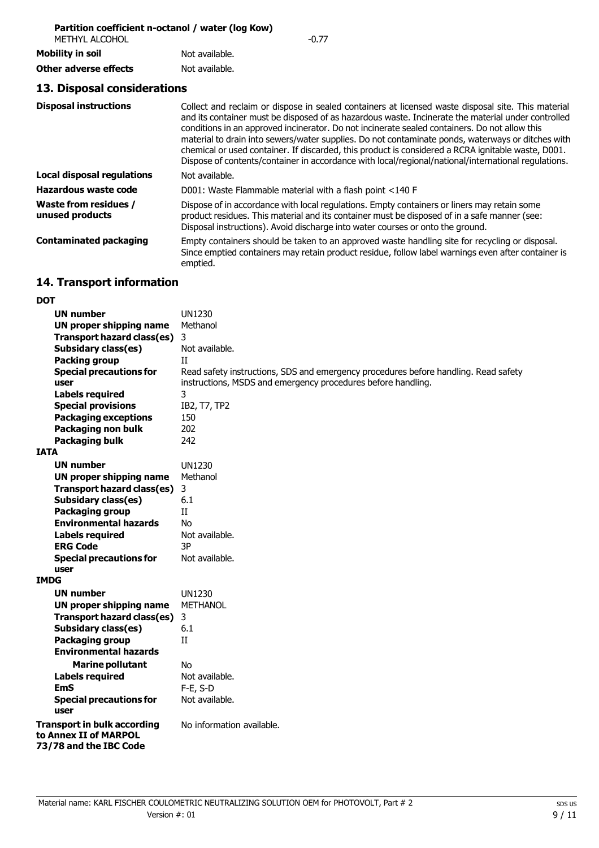#### **Partition coefficient n-octanol / water (log Kow)**

| METHYL ALCOHOL          |                | -0.77 |
|-------------------------|----------------|-------|
| <b>Mobility in soil</b> | Not available. |       |
| Other adverse effects   | Not available. |       |

### **13. Disposal considerations**

| <b>Disposal instructions</b>             | Collect and reclaim or dispose in sealed containers at licensed waste disposal site. This material<br>and its container must be disposed of as hazardous waste. Incinerate the material under controlled<br>conditions in an approved incinerator. Do not incinerate sealed containers. Do not allow this<br>material to drain into sewers/water supplies. Do not contaminate ponds, waterways or ditches with<br>chemical or used container. If discarded, this product is considered a RCRA ignitable waste, D001.<br>Dispose of contents/container in accordance with local/regional/national/international regulations. |
|------------------------------------------|-----------------------------------------------------------------------------------------------------------------------------------------------------------------------------------------------------------------------------------------------------------------------------------------------------------------------------------------------------------------------------------------------------------------------------------------------------------------------------------------------------------------------------------------------------------------------------------------------------------------------------|
| <b>Local disposal regulations</b>        | Not available.                                                                                                                                                                                                                                                                                                                                                                                                                                                                                                                                                                                                              |
| Hazardous waste code                     | D001: Waste Flammable material with a flash point <140 F                                                                                                                                                                                                                                                                                                                                                                                                                                                                                                                                                                    |
| Waste from residues /<br>unused products | Dispose of in accordance with local regulations. Empty containers or liners may retain some<br>product residues. This material and its container must be disposed of in a safe manner (see:<br>Disposal instructions). Avoid discharge into water courses or onto the ground.                                                                                                                                                                                                                                                                                                                                               |
| <b>Contaminated packaging</b>            | Empty containers should be taken to an approved waste handling site for recycling or disposal.<br>Since emptied containers may retain product residue, follow label warnings even after container is<br>emptied.                                                                                                                                                                                                                                                                                                                                                                                                            |

# **14. Transport information**

| <b>DOT</b>                                                                            |                                                                                     |
|---------------------------------------------------------------------------------------|-------------------------------------------------------------------------------------|
| <b>UN number</b>                                                                      | <b>UN1230</b>                                                                       |
| UN proper shipping name                                                               | Methanol                                                                            |
| <b>Transport hazard class(es)</b>                                                     | 3                                                                                   |
| <b>Subsidary class(es)</b>                                                            | Not available.                                                                      |
| <b>Packing group</b>                                                                  | Π                                                                                   |
| <b>Special precautions for</b>                                                        | Read safety instructions, SDS and emergency procedures before handling. Read safety |
| user                                                                                  | instructions, MSDS and emergency procedures before handling.                        |
| <b>Labels required</b>                                                                | 3                                                                                   |
| <b>Special provisions</b>                                                             | IB2, T7, TP2                                                                        |
| <b>Packaging exceptions</b>                                                           | 150                                                                                 |
| <b>Packaging non bulk</b>                                                             | 202                                                                                 |
| <b>Packaging bulk</b>                                                                 | 242                                                                                 |
| <b>IATA</b>                                                                           |                                                                                     |
| UN number                                                                             | <b>UN1230</b>                                                                       |
| UN proper shipping name                                                               | Methanol                                                                            |
| <b>Transport hazard class(es)</b>                                                     | 3                                                                                   |
| <b>Subsidary class(es)</b>                                                            | 6.1                                                                                 |
| Packaging group                                                                       | Π                                                                                   |
| <b>Environmental hazards</b>                                                          | No                                                                                  |
| <b>Labels required</b>                                                                | Not available.                                                                      |
| <b>ERG Code</b>                                                                       | 3P                                                                                  |
| <b>Special precautions for</b>                                                        | Not available.                                                                      |
| user                                                                                  |                                                                                     |
| <b>IMDG</b>                                                                           |                                                                                     |
| UN number                                                                             | <b>UN1230</b>                                                                       |
| UN proper shipping name                                                               | <b>METHANOL</b>                                                                     |
| <b>Transport hazard class(es)</b>                                                     | 3                                                                                   |
| <b>Subsidary class(es)</b>                                                            | 6.1                                                                                 |
| Packaging group                                                                       | Π                                                                                   |
| <b>Environmental hazards</b>                                                          |                                                                                     |
| <b>Marine pollutant</b>                                                               | No.                                                                                 |
| <b>Labels required</b>                                                                | Not available.                                                                      |
| <b>EmS</b>                                                                            | $F-E$ , S-D                                                                         |
| <b>Special precautions for</b>                                                        | Not available.                                                                      |
| user                                                                                  |                                                                                     |
| <b>Transport in bulk according</b><br>to Annex II of MARPOL<br>73/78 and the IBC Code | No information available.                                                           |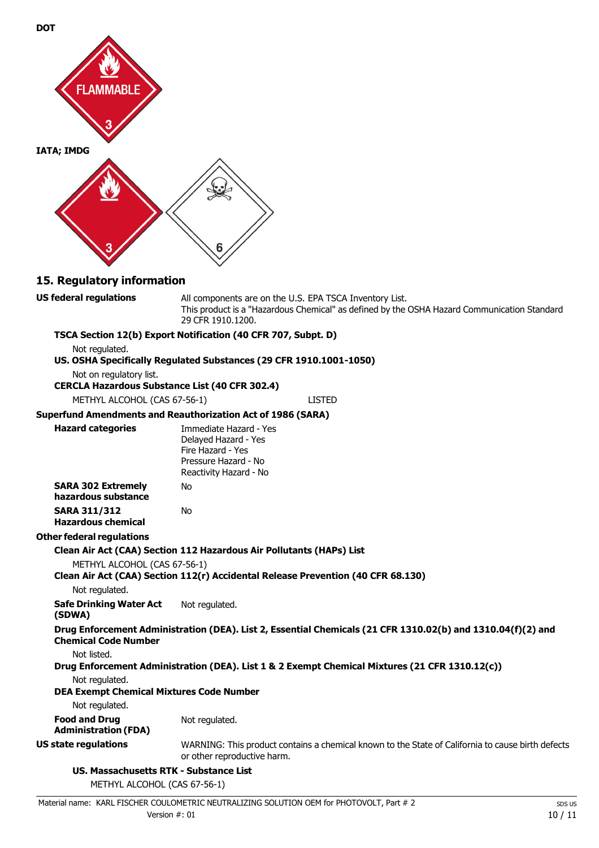